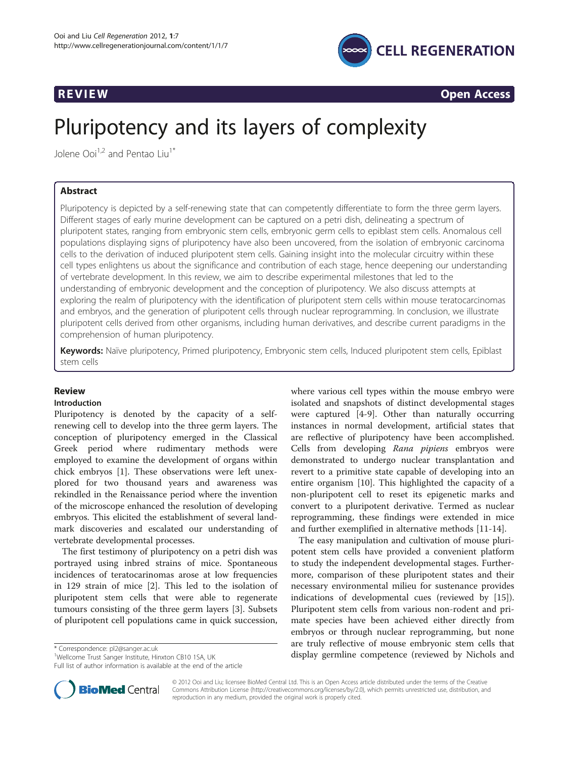

R EVI EW OPEN ACCESS OF THE EW OPEN ACCESS OF THE EWO ARE ALL THE EWO ARE ALL THE EWO ARE ALL THE EWO ARE ALL <br>The experimental contract of the experimental contract of the experimental contract of the experimental contra

# Pluripotency and its layers of complexity

Jolene Ooi $1/2$  and Pentao Liu<sup>1\*</sup>

Pluripotency is depicted by a self-renewing state that can competently differentiate to form the three germ layers. Different stages of early murine development can be captured on a petri dish, delineating a spectrum of pluripotent states, ranging from embryonic stem cells, embryonic germ cells to epiblast stem cells. Anomalous cell populations displaying signs of pluripotency have also been uncovered, from the isolation of embryonic carcinoma cells to the derivation of induced pluripotent stem cells. Gaining insight into the molecular circuitry within these cell types enlightens us about the significance and contribution of each stage, hence deepening our understanding of vertebrate development. In this review, we aim to describe experimental milestones that led to the understanding of embryonic development and the conception of pluripotency. We also discuss attempts at exploring the realm of pluripotency with the identification of pluripotent stem cells within mouse teratocarcinomas and embryos, and the generation of pluripotent cells through nuclear reprogramming. In conclusion, we illustrate pluripotent cells derived from other organisms, including human derivatives, and describe current paradigms in the comprehension of human pluripotency.

Keywords: Naïve pluripotency, Primed pluripotency, Embryonic stem cells, Induced pluripotent stem cells, Epiblast stem cells

# **Review**

# Introduction

Pluripotency is denoted by the capacity of a selfrenewing cell to develop into the three germ layers. The conception of pluripotency emerged in the Classical Greek period where rudimentary methods were employed to examine the development of organs within chick embryos [\[1](#page-6-0)]. These observations were left unexplored for two thousand years and awareness was rekindled in the Renaissance period where the invention of the microscope enhanced the resolution of developing embryos. This elicited the establishment of several landmark discoveries and escalated our understanding of vertebrate developmental processes.

The first testimony of pluripotency on a petri dish was portrayed using inbred strains of mice. Spontaneous incidences of teratocarinomas arose at low frequencies in 129 strain of mice [\[2](#page-6-0)]. This led to the isolation of pluripotent stem cells that were able to regenerate tumours consisting of the three germ layers [\[3\]](#page-6-0). Subsets of pluripotent cell populations came in quick succession,

Full list of author information is available at the end of the article

where various cell types within the mouse embryo were isolated and snapshots of distinct developmental stages were captured [\[4](#page-6-0)-[9\]](#page-6-0). Other than naturally occurring instances in normal development, artificial states that are reflective of pluripotency have been accomplished. Cells from developing Rana pipiens embryos were demonstrated to undergo nuclear transplantation and revert to a primitive state capable of developing into an entire organism [\[10](#page-6-0)]. This highlighted the capacity of a non-pluripotent cell to reset its epigenetic marks and convert to a pluripotent derivative. Termed as nuclear reprogramming, these findings were extended in mice and further exemplified in alternative methods [[11-14](#page-6-0)].

The easy manipulation and cultivation of mouse pluripotent stem cells have provided a convenient platform to study the independent developmental stages. Furthermore, comparison of these pluripotent states and their necessary environmental milieu for sustenance provides indications of developmental cues (reviewed by [\[15](#page-6-0)]). Pluripotent stem cells from various non-rodent and primate species have been achieved either directly from embryos or through nuclear reprogramming, but none are truly reflective of mouse embryonic stem cells that different temperature of mouse embryonic stem cens that<br>
<sup>1</sup>Wellcome Trust Sanger Institute. Hinxton CB10 1SA. UK **1999** display germline competence (reviewed by Nichols and



© 2012 Ooi and Liu; licensee BioMed Central Ltd. This is an Open Access article distributed under the terms of the Creative Commons Attribution License [\(http://creativecommons.org/licenses/by/2.0\)](http://creativecommons.org/licenses/by/2.0), which permits unrestricted use, distribution, and reproduction in any medium, provided the original work is properly cited.

<sup>&</sup>lt;sup>1</sup>Wellcome Trust Sanger Institute, Hinxton CB10 1SA, UK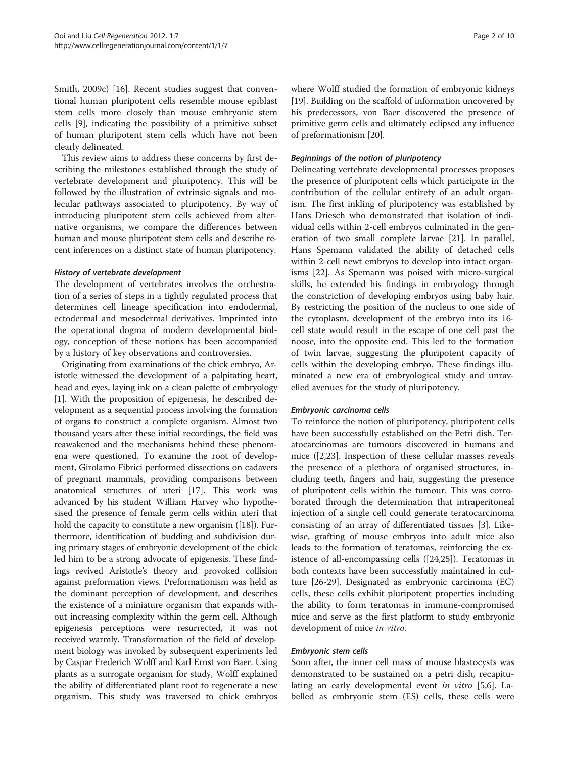Smith, 2009c) [\[16\]](#page-6-0). Recent studies suggest that conventional human pluripotent cells resemble mouse epiblast stem cells more closely than mouse embryonic stem cells [[9\]](#page-6-0), indicating the possibility of a primitive subset of human pluripotent stem cells which have not been clearly delineated.

This review aims to address these concerns by first describing the milestones established through the study of vertebrate development and pluripotency. This will be followed by the illustration of extrinsic signals and molecular pathways associated to pluripotency. By way of introducing pluripotent stem cells achieved from alternative organisms, we compare the differences between human and mouse pluripotent stem cells and describe recent inferences on a distinct state of human pluripotency.

#### History of vertebrate development

The development of vertebrates involves the orchestration of a series of steps in a tightly regulated process that determines cell lineage specification into endodermal, ectodermal and mesodermal derivatives. Imprinted into the operational dogma of modern developmental biology, conception of these notions has been accompanied by a history of key observations and controversies.

Originating from examinations of the chick embryo, Aristotle witnessed the development of a palpitating heart, head and eyes, laying ink on a clean palette of embryology [[1\]](#page-6-0). With the proposition of epigenesis, he described development as a sequential process involving the formation of organs to construct a complete organism. Almost two thousand years after these initial recordings, the field was reawakened and the mechanisms behind these phenomena were questioned. To examine the root of development, Girolamo Fibrici performed dissections on cadavers of pregnant mammals, providing comparisons between anatomical structures of uteri [\[17\]](#page-6-0). This work was advanced by his student William Harvey who hypothesised the presence of female germ cells within uteri that hold the capacity to constitute a new organism ([[18](#page-6-0)]). Furthermore, identification of budding and subdivision during primary stages of embryonic development of the chick led him to be a strong advocate of epigenesis. These findings revived Aristotle's theory and provoked collision against preformation views. Preformationism was held as the dominant perception of development, and describes the existence of a miniature organism that expands without increasing complexity within the germ cell. Although epigenesis perceptions were resurrected, it was not received warmly. Transformation of the field of development biology was invoked by subsequent experiments led by Caspar Frederich Wolff and Karl Ernst von Baer. Using plants as a surrogate organism for study, Wolff explained the ability of differentiated plant root to regenerate a new organism. This study was traversed to chick embryos

where Wolff studied the formation of embryonic kidneys [[19](#page-6-0)]. Building on the scaffold of information uncovered by his predecessors, von Baer discovered the presence of primitive germ cells and ultimately eclipsed any influence of preformationism [[20](#page-6-0)].

# Beginnings of the notion of pluripotency

Delineating vertebrate developmental processes proposes the presence of pluripotent cells which participate in the contribution of the cellular entirety of an adult organism. The first inkling of pluripotency was established by Hans Driesch who demonstrated that isolation of individual cells within 2-cell embryos culminated in the generation of two small complete larvae [[21\]](#page-6-0). In parallel, Hans Spemann validated the ability of detached cells within 2-cell newt embryos to develop into intact organisms [[22](#page-6-0)]. As Spemann was poised with micro-surgical skills, he extended his findings in embryology through the constriction of developing embryos using baby hair. By restricting the position of the nucleus to one side of the cytoplasm, development of the embryo into its 16 cell state would result in the escape of one cell past the noose, into the opposite end. This led to the formation of twin larvae, suggesting the pluripotent capacity of cells within the developing embryo. These findings illuminated a new era of embryological study and unravelled avenues for the study of pluripotency.

# Embryonic carcinoma cells

To reinforce the notion of pluripotency, pluripotent cells have been successfully established on the Petri dish. Teratocarcinomas are tumours discovered in humans and mice ([[2](#page-6-0),[23](#page-6-0)]. Inspection of these cellular masses reveals the presence of a plethora of organised structures, including teeth, fingers and hair, suggesting the presence of pluripotent cells within the tumour. This was corroborated through the determination that intraperitoneal injection of a single cell could generate teratocarcinoma consisting of an array of differentiated tissues [\[3](#page-6-0)]. Likewise, grafting of mouse embryos into adult mice also leads to the formation of teratomas, reinforcing the existence of all-encompassing cells ([[24,25](#page-6-0)]). Teratomas in both contexts have been successfully maintained in culture [\[26-29](#page-6-0)]. Designated as embryonic carcinoma (EC) cells, these cells exhibit pluripotent properties including the ability to form teratomas in immune-compromised mice and serve as the first platform to study embryonic development of mice in vitro.

#### Embryonic stem cells

Soon after, the inner cell mass of mouse blastocysts was demonstrated to be sustained on a petri dish, recapitulating an early developmental event in vitro [[5,6\]](#page-6-0). Labelled as embryonic stem (ES) cells, these cells were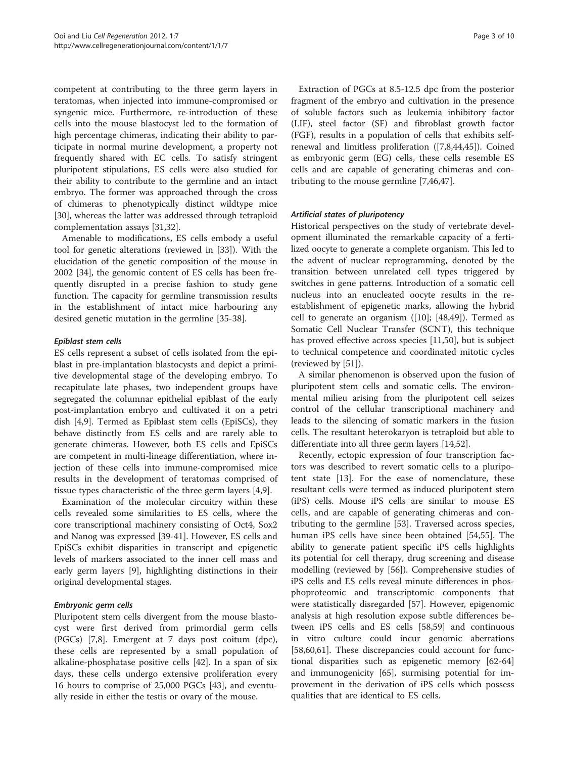competent at contributing to the three germ layers in teratomas, when injected into immune-compromised or syngenic mice. Furthermore, re-introduction of these cells into the mouse blastocyst led to the formation of high percentage chimeras, indicating their ability to participate in normal murine development, a property not frequently shared with EC cells. To satisfy stringent pluripotent stipulations, ES cells were also studied for their ability to contribute to the germline and an intact embryo. The former was approached through the cross of chimeras to phenotypically distinct wildtype mice [[30\]](#page-6-0), whereas the latter was addressed through tetraploid complementation assays [\[31,32\]](#page-6-0).

Amenable to modifications, ES cells embody a useful tool for genetic alterations (reviewed in [\[33](#page-6-0)]). With the elucidation of the genetic composition of the mouse in 2002 [[34\]](#page-6-0), the genomic content of ES cells has been frequently disrupted in a precise fashion to study gene function. The capacity for germline transmission results in the establishment of intact mice harbouring any desired genetic mutation in the germline [[35-](#page-6-0)[38](#page-7-0)].

# Epiblast stem cells

ES cells represent a subset of cells isolated from the epiblast in pre-implantation blastocysts and depict a primitive developmental stage of the developing embryo. To recapitulate late phases, two independent groups have segregated the columnar epithelial epiblast of the early post-implantation embryo and cultivated it on a petri dish [[4,9\]](#page-6-0). Termed as Epiblast stem cells (EpiSCs), they behave distinctly from ES cells and are rarely able to generate chimeras. However, both ES cells and EpiSCs are competent in multi-lineage differentiation, where injection of these cells into immune-compromised mice results in the development of teratomas comprised of tissue types characteristic of the three germ layers [[4,9\]](#page-6-0).

Examination of the molecular circuitry within these cells revealed some similarities to ES cells, where the core transcriptional machinery consisting of Oct4, Sox2 and Nanog was expressed [[39-41\]](#page-7-0). However, ES cells and EpiSCs exhibit disparities in transcript and epigenetic levels of markers associated to the inner cell mass and early germ layers [[9\]](#page-6-0), highlighting distinctions in their original developmental stages.

#### Embryonic germ cells

Pluripotent stem cells divergent from the mouse blastocyst were first derived from primordial germ cells (PGCs) [\[7,8](#page-6-0)]. Emergent at 7 days post coitum (dpc), these cells are represented by a small population of alkaline-phosphatase positive cells [\[42](#page-7-0)]. In a span of six days, these cells undergo extensive proliferation every 16 hours to comprise of 25,000 PGCs [\[43\]](#page-7-0), and eventually reside in either the testis or ovary of the mouse.

Extraction of PGCs at 8.5-12.5 dpc from the posterior fragment of the embryo and cultivation in the presence of soluble factors such as leukemia inhibitory factor (LIF), steel factor (SF) and fibroblast growth factor (FGF), results in a population of cells that exhibits selfrenewal and limitless proliferation ([\[7,8](#page-6-0)[,44,45](#page-7-0)]). Coined as embryonic germ (EG) cells, these cells resemble ES cells and are capable of generating chimeras and contributing to the mouse germline [\[7](#page-6-0)[,46,47\]](#page-7-0).

### Artificial states of pluripotency

Historical perspectives on the study of vertebrate development illuminated the remarkable capacity of a fertilized oocyte to generate a complete organism. This led to the advent of nuclear reprogramming, denoted by the transition between unrelated cell types triggered by switches in gene patterns. Introduction of a somatic cell nucleus into an enucleated oocyte results in the reestablishment of epigenetic marks, allowing the hybrid cell to generate an organism ([[10](#page-6-0)]; [\[48,49\]](#page-7-0)). Termed as Somatic Cell Nuclear Transfer (SCNT), this technique has proved effective across species [\[11](#page-6-0)[,50\]](#page-7-0), but is subject to technical competence and coordinated mitotic cycles (reviewed by [[51\]](#page-7-0)).

A similar phenomenon is observed upon the fusion of pluripotent stem cells and somatic cells. The environmental milieu arising from the pluripotent cell seizes control of the cellular transcriptional machinery and leads to the silencing of somatic markers in the fusion cells. The resultant heterokaryon is tetraploid but able to differentiate into all three germ layers [[14](#page-6-0)[,52](#page-7-0)].

Recently, ectopic expression of four transcription factors was described to revert somatic cells to a pluripotent state [\[13](#page-6-0)]. For the ease of nomenclature, these resultant cells were termed as induced pluripotent stem (iPS) cells. Mouse iPS cells are similar to mouse ES cells, and are capable of generating chimeras and contributing to the germline [[53](#page-7-0)]. Traversed across species, human iPS cells have since been obtained [\[54,55\]](#page-7-0). The ability to generate patient specific iPS cells highlights its potential for cell therapy, drug screening and disease modelling (reviewed by [[56\]](#page-7-0)). Comprehensive studies of iPS cells and ES cells reveal minute differences in phosphoproteomic and transcriptomic components that were statistically disregarded [[57\]](#page-7-0). However, epigenomic analysis at high resolution expose subtle differences between iPS cells and ES cells [\[58,59](#page-7-0)] and continuous in vitro culture could incur genomic aberrations [[58,60,61\]](#page-7-0). These discrepancies could account for functional disparities such as epigenetic memory [\[62](#page-7-0)-[64](#page-7-0)] and immunogenicity [\[65\]](#page-7-0), surmising potential for improvement in the derivation of iPS cells which possess qualities that are identical to ES cells.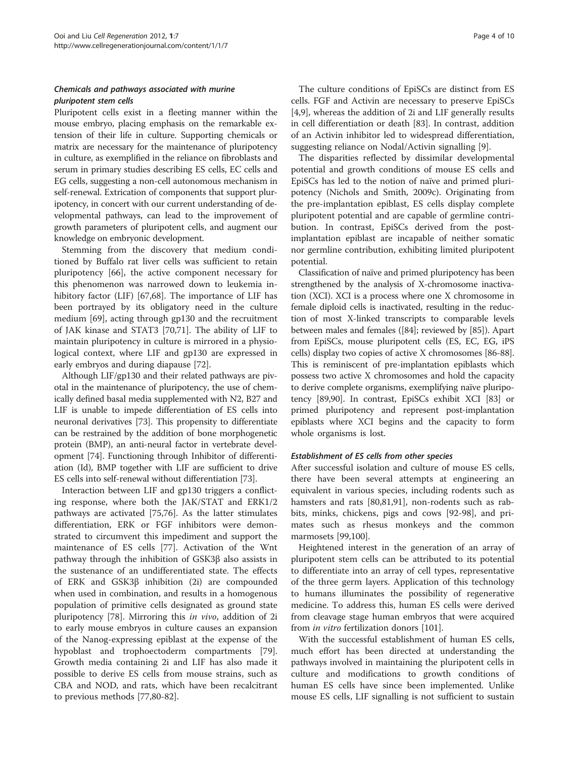# Chemicals and pathways associated with murine pluripotent stem cells

Pluripotent cells exist in a fleeting manner within the mouse embryo, placing emphasis on the remarkable extension of their life in culture. Supporting chemicals or matrix are necessary for the maintenance of pluripotency in culture, as exemplified in the reliance on fibroblasts and serum in primary studies describing ES cells, EC cells and EG cells, suggesting a non-cell autonomous mechanism in self-renewal. Extrication of components that support pluripotency, in concert with our current understanding of developmental pathways, can lead to the improvement of growth parameters of pluripotent cells, and augment our knowledge on embryonic development.

Stemming from the discovery that medium conditioned by Buffalo rat liver cells was sufficient to retain pluripotency [\[66](#page-7-0)], the active component necessary for this phenomenon was narrowed down to leukemia inhibitory factor (LIF) [[67,68\]](#page-7-0). The importance of LIF has been portrayed by its obligatory need in the culture medium [\[69\]](#page-7-0), acting through gp130 and the recruitment of JAK kinase and STAT3 [\[70,71\]](#page-7-0). The ability of LIF to maintain pluripotency in culture is mirrored in a physiological context, where LIF and gp130 are expressed in early embryos and during diapause [[72\]](#page-7-0).

Although LIF/gp130 and their related pathways are pivotal in the maintenance of pluripotency, the use of chemically defined basal media supplemented with N2, B27 and LIF is unable to impede differentiation of ES cells into neuronal derivatives [\[73\]](#page-7-0). This propensity to differentiate can be restrained by the addition of bone morphogenetic protein (BMP), an anti-neural factor in vertebrate development [\[74](#page-7-0)]. Functioning through Inhibitor of differentiation (Id), BMP together with LIF are sufficient to drive ES cells into self-renewal without differentiation [\[73](#page-7-0)].

Interaction between LIF and gp130 triggers a conflicting response, where both the JAK/STAT and ERK1/2 pathways are activated [\[75,76](#page-7-0)]. As the latter stimulates differentiation, ERK or FGF inhibitors were demonstrated to circumvent this impediment and support the maintenance of ES cells [\[77\]](#page-7-0). Activation of the Wnt pathway through the inhibition of GSK3β also assists in the sustenance of an undifferentiated state. The effects of ERK and GSK3β inhibition (2i) are compounded when used in combination, and results in a homogenous population of primitive cells designated as ground state pluripotency [\[78](#page-7-0)]. Mirroring this in vivo, addition of 2i to early mouse embryos in culture causes an expansion of the Nanog-expressing epiblast at the expense of the hypoblast and trophoectoderm compartments [\[79](#page-7-0)]. Growth media containing 2i and LIF has also made it possible to derive ES cells from mouse strains, such as CBA and NOD, and rats, which have been recalcitrant to previous methods [[77,80-](#page-7-0)[82\]](#page-8-0).

The culture conditions of EpiSCs are distinct from ES cells. FGF and Activin are necessary to preserve EpiSCs [[4,9\]](#page-6-0), whereas the addition of 2i and LIF generally results in cell differentiation or death [[83](#page-8-0)]. In contrast, addition of an Activin inhibitor led to widespread differentiation, suggesting reliance on Nodal/Activin signalling [[9\]](#page-6-0).

The disparities reflected by dissimilar developmental potential and growth conditions of mouse ES cells and EpiSCs has led to the notion of naïve and primed pluripotency (Nichols and Smith, 2009c). Originating from the pre-implantation epiblast, ES cells display complete pluripotent potential and are capable of germline contribution. In contrast, EpiSCs derived from the postimplantation epiblast are incapable of neither somatic nor germline contribution, exhibiting limited pluripotent potential.

Classification of naïve and primed pluripotency has been strengthened by the analysis of X-chromosome inactivation (XCI). XCI is a process where one X chromosome in female diploid cells is inactivated, resulting in the reduction of most X-linked transcripts to comparable levels between males and females ([\[84\]](#page-8-0); reviewed by [[85](#page-8-0)]). Apart from EpiSCs, mouse pluripotent cells (ES, EC, EG, iPS cells) display two copies of active X chromosomes [[86](#page-8-0)-[88](#page-8-0)]. This is reminiscent of pre-implantation epiblasts which possess two active X chromosomes and hold the capacity to derive complete organisms, exemplifying naïve pluripotency [[89,90\]](#page-8-0). In contrast, EpiSCs exhibit XCI [[83](#page-8-0)] or primed pluripotency and represent post-implantation epiblasts where XCI begins and the capacity to form whole organisms is lost.

# Establishment of ES cells from other species

After successful isolation and culture of mouse ES cells, there have been several attempts at engineering an equivalent in various species, including rodents such as hamsters and rats [[80,](#page-7-0)[81,91\]](#page-8-0), non-rodents such as rabbits, minks, chickens, pigs and cows [\[92](#page-8-0)-[98\]](#page-8-0), and primates such as rhesus monkeys and the common marmosets [[99](#page-8-0),[100](#page-8-0)].

Heightened interest in the generation of an array of pluripotent stem cells can be attributed to its potential to differentiate into an array of cell types, representative of the three germ layers. Application of this technology to humans illuminates the possibility of regenerative medicine. To address this, human ES cells were derived from cleavage stage human embryos that were acquired from *in vitro* fertilization donors [\[101](#page-8-0)].

With the successful establishment of human ES cells, much effort has been directed at understanding the pathways involved in maintaining the pluripotent cells in culture and modifications to growth conditions of human ES cells have since been implemented. Unlike mouse ES cells, LIF signalling is not sufficient to sustain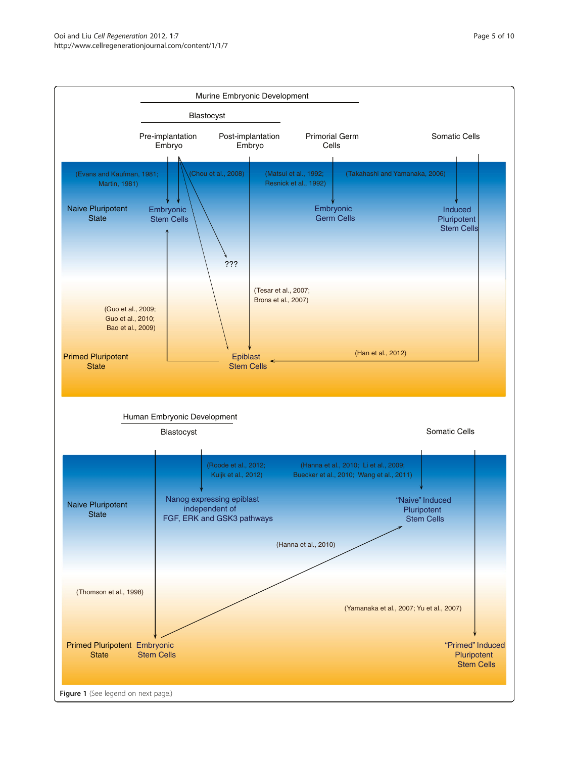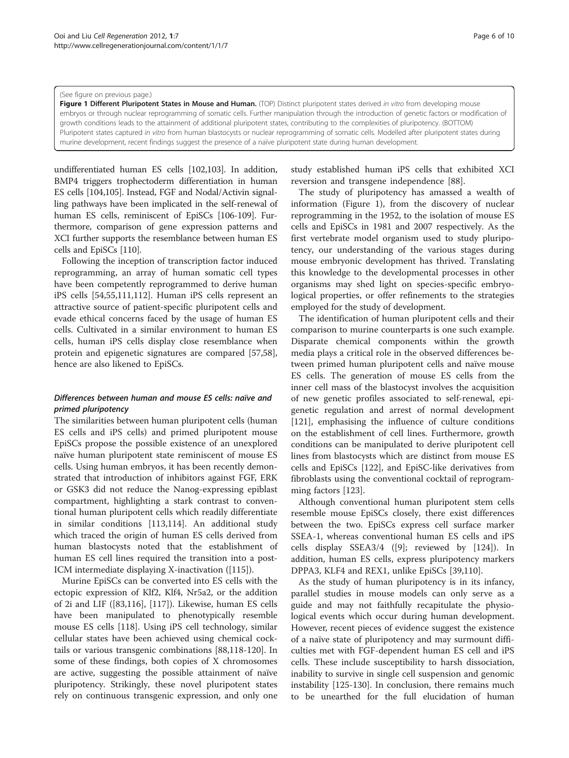#### (See figure on previous page.)

Figure 1 Different Pluripotent States in Mouse and Human. (TOP) Distinct pluripotent states derived in vitro from developing mouse embryos or through nuclear reprogramming of somatic cells. Further manipulation through the introduction of genetic factors or modification of growth conditions leads to the attainment of additional pluripotent states, contributing to the complexities of pluripotency. (BOTTOM) Pluripotent states captured in vitro from human blastocysts or nuclear reprogramming of somatic cells. Modelled after pluripotent states during murine development, recent findings suggest the presence of a naïve pluripotent state during human development.

undifferentiated human ES cells [\[102,103](#page-8-0)]. In addition, BMP4 triggers trophectoderm differentiation in human ES cells [[104,105](#page-8-0)]. Instead, FGF and Nodal/Activin signalling pathways have been implicated in the self-renewal of human ES cells, reminiscent of EpiSCs [[106](#page-8-0)-[109](#page-8-0)]. Furthermore, comparison of gene expression patterns and XCI further supports the resemblance between human ES cells and EpiSCs [[110](#page-8-0)].

Following the inception of transcription factor induced reprogramming, an array of human somatic cell types have been competently reprogrammed to derive human iPS cells [\[54,55,](#page-7-0)[111,112\]](#page-8-0). Human iPS cells represent an attractive source of patient-specific pluripotent cells and evade ethical concerns faced by the usage of human ES cells. Cultivated in a similar environment to human ES cells, human iPS cells display close resemblance when protein and epigenetic signatures are compared [\[57,58](#page-7-0)], hence are also likened to EpiSCs.

# Differences between human and mouse ES cells: naïve and primed pluripotency

The similarities between human pluripotent cells (human ES cells and iPS cells) and primed pluripotent mouse EpiSCs propose the possible existence of an unexplored naïve human pluripotent state reminiscent of mouse ES cells. Using human embryos, it has been recently demonstrated that introduction of inhibitors against FGF, ERK or GSK3 did not reduce the Nanog-expressing epiblast compartment, highlighting a stark contrast to conventional human pluripotent cells which readily differentiate in similar conditions [[113,114](#page-8-0)]. An additional study which traced the origin of human ES cells derived from human blastocysts noted that the establishment of human ES cell lines required the transition into a post-ICM intermediate displaying X-inactivation ([[115](#page-8-0)]).

Murine EpiSCs can be converted into ES cells with the ectopic expression of Klf2, Klf4, Nr5a2, or the addition of 2i and LIF ([[83,116\]](#page-8-0), [[117](#page-8-0)]). Likewise, human ES cells have been manipulated to phenotypically resemble mouse ES cells [\[118](#page-8-0)]. Using iPS cell technology, similar cellular states have been achieved using chemical cocktails or various transgenic combinations [\[88,118-120](#page-8-0)]. In some of these findings, both copies of X chromosomes are active, suggesting the possible attainment of naïve pluripotency. Strikingly, these novel pluripotent states rely on continuous transgenic expression, and only one study established human iPS cells that exhibited XCI reversion and transgene independence [\[88\]](#page-8-0).

The study of pluripotency has amassed a wealth of information (Figure 1), from the discovery of nuclear reprogramming in the 1952, to the isolation of mouse ES cells and EpiSCs in 1981 and 2007 respectively. As the first vertebrate model organism used to study pluripotency, our understanding of the various stages during mouse embryonic development has thrived. Translating this knowledge to the developmental processes in other organisms may shed light on species-specific embryological properties, or offer refinements to the strategies employed for the study of development.

The identification of human pluripotent cells and their comparison to murine counterparts is one such example. Disparate chemical components within the growth media plays a critical role in the observed differences between primed human pluripotent cells and naïve mouse ES cells. The generation of mouse ES cells from the inner cell mass of the blastocyst involves the acquisition of new genetic profiles associated to self-renewal, epigenetic regulation and arrest of normal development [[121\]](#page-8-0), emphasising the influence of culture conditions on the establishment of cell lines. Furthermore, growth conditions can be manipulated to derive pluripotent cell lines from blastocysts which are distinct from mouse ES cells and EpiSCs [\[122](#page-8-0)], and EpiSC-like derivatives from fibroblasts using the conventional cocktail of reprogramming factors [\[123\]](#page-8-0).

Although conventional human pluripotent stem cells resemble mouse EpiSCs closely, there exist differences between the two. EpiSCs express cell surface marker SSEA-1, whereas conventional human ES cells and iPS cells display SSEA3/4 ([\[9](#page-6-0)]; reviewed by [[124\]](#page-9-0)). In addition, human ES cells, express pluripotency markers DPPA3, KLF4 and REX1, unlike EpiSCs [[39,](#page-7-0)[110](#page-8-0)].

As the study of human pluripotency is in its infancy, parallel studies in mouse models can only serve as a guide and may not faithfully recapitulate the physiological events which occur during human development. However, recent pieces of evidence suggest the existence of a naïve state of pluripotency and may surmount difficulties met with FGF-dependent human ES cell and iPS cells. These include susceptibility to harsh dissociation, inability to survive in single cell suspension and genomic instability [\[125-130](#page-9-0)]. In conclusion, there remains much to be unearthed for the full elucidation of human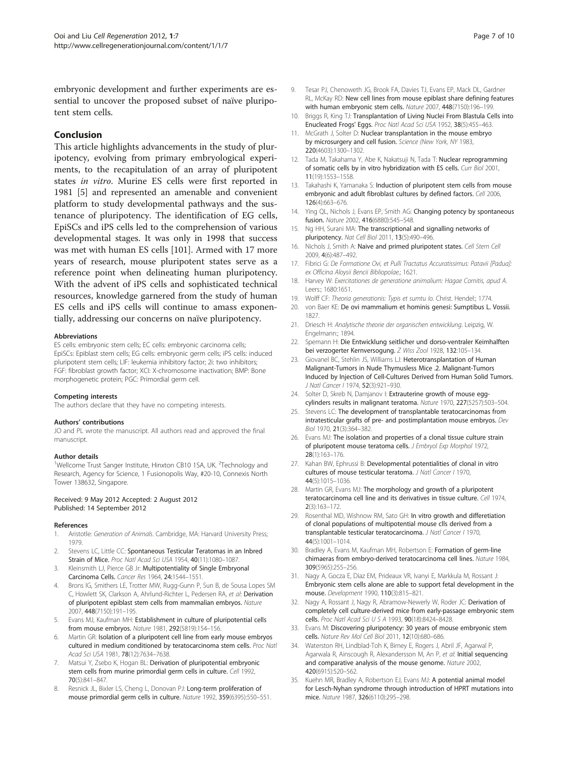<span id="page-6-0"></span>embryonic development and further experiments are essential to uncover the proposed subset of naïve pluripotent stem cells.

# **Conclusion**

This article highlights advancements in the study of pluripotency, evolving from primary embryological experiments, to the recapitulation of an array of pluripotent states in vitro. Murine ES cells were first reported in 1981 [5] and represented an amenable and convenient platform to study developmental pathways and the sustenance of pluripotency. The identification of EG cells, EpiSCs and iPS cells led to the comprehension of various developmental stages. It was only in 1998 that success was met with human ES cells [\[101\]](#page-8-0). Armed with 17 more years of research, mouse pluripotent states serve as a reference point when delineating human pluripotency. With the advent of iPS cells and sophisticated technical resources, knowledge garnered from the study of human ES cells and iPS cells will continue to amass exponentially, addressing our concerns on naïve pluripotency.

#### Abbreviations

ES cells: embryonic stem cells; EC cells: embryonic carcinoma cells; EpiSCs: Epiblast stem cells; EG cells: embryonic germ cells; iPS cells: induced pluripotent stem cells; LIF: leukemia inhibitory factor; 2i: two inhibitors; FGF: fibroblast growth factor; XCI: X-chromosome inactivation; BMP: Bone morphogenetic protein; PGC: Primordial germ cell.

#### Competing interests

The authors declare that they have no competing interests.

#### Authors' contributions

JO and PL wrote the manuscript. All authors read and approved the final manuscript.

#### Author details

<sup>1</sup>Wellcome Trust Sanger Institute, Hinxton CB10 1SA, UK. <sup>2</sup>Technology and Research, Agency for Science, 1 Fusionopolis Way, #20-10, Connexis North Tower 138632, Singapore.

#### Received: 9 May 2012 Accepted: 2 August 2012 Published: 14 September 2012

#### References

- Aristotle: Generation of Animals. Cambridge, MA: Harvard University Press; 1979.
- 2. Stevens LC, Little CC: Spontaneous Testicular Teratomas in an Inbred Strain of Mice. Proc Natl Acad Sci USA 1954, 40(11):1080–1087.
- 3. Kleinsmith LJ, Pierce GB Jr: Multipotentiality of Single Embryonal Carcinoma Cells. Cancer Res 1964, 24:1544–1551.
- 4. Brons IG, Smithers LE, Trotter MW, Rugg-Gunn P, Sun B, de Sousa Lopes SM C, Howlett SK, Clarkson A, Ahrlund-Richter L, Pedersen RA, et al: Derivation of pluripotent epiblast stem cells from mammalian embryos. Nature 2007, 448(7150):191–195.
- 5. Evans MJ, Kaufman MH: Establishment in culture of pluripotential cells from mouse embryos. Nature 1981, 292(5819):154–156.
- 6. Martin GR: Isolation of a pluripotent cell line from early mouse embryos cultured in medium conditioned by teratocarcinoma stem cells. Proc Natl Acad Sci USA 1981, 78(12):7634–7638.
- 7. Matsui Y, Zsebo K, Hogan BL: Derivation of pluripotential embryonic stem cells from murine primordial germ cells in culture. Cell 1992, 70(5):841–847.
- 8. Resnick JL, Bixler LS, Cheng L, Donovan PJ: Long-term proliferation of mouse primordial germ cells in culture. Nature 1992, 359(6395):550–551.
- 9. Tesar PJ, Chenoweth JG, Brook FA, Davies TJ, Evans EP, Mack DL, Gardner RL, McKay RD: New cell lines from mouse epiblast share defining features with human embryonic stem cells. Nature 2007, 448(7150):196–199.
- 10. Briggs R, King TJ: Transplantation of Living Nuclei From Blastula Cells into Enucleated Frogs' Eggs. Proc Natl Acad Sci USA 1952, 38(5):455–463.
- 11. McGrath J, Solter D: Nuclear transplantation in the mouse embryo by microsurgery and cell fusion. Science (New York, NY 1983, 220(4603):1300–1302.
- 12. Tada M, Takahama Y, Abe K, Nakatsuji N, Tada T: Nuclear reprogramming of somatic cells by in vitro hybridization with ES cells. Curr Biol 2001, 11(19):1553–1558.
- 13. Takahashi K, Yamanaka S: Induction of pluripotent stem cells from mouse embryonic and adult fibroblast cultures by defined factors. Cell 2006, 126(4):663–676.
- 14. Ying QL, Nichols J, Evans EP, Smith AG: Changing potency by spontaneous fusion. Nature 2002, 416(6880):545–548.
- 15. Ng HH, Surani MA: The transcriptional and signalling networks of pluripotency. Nat Cell Biol 2011, 13(5):490–496.
- 16. Nichols J, Smith A: Naive and primed pluripotent states. Cell Stem Cell 2009, 4(6):487–492.
- 17. Fibrici G: De Formatione Ovi, et Pulli Tractatus Accuratissimus: Patavii [Padua]: ex Officina Aloysii Bencii Bibliopolae.; 1621.
- 18. Harvey W: Exercitationes de generatione animalium: Hagae Comitis, apud A. Leers:; 1680:1651.
- 19. Wolff CF: Theoria generationis: Typis et sumtu lo. Christ. Hendel:; 1774.
- 20. von Baer KE: De ovi mammalium et hominis genesi: Sumptibus L. Vossii. 1827.
- 21. Driesch H: Analytische theorie der organischen entwicklung. Leipzig, W. Engelmann:; 1894.
- 22. Spemann H: Die Entwicklung seitlicher und dorso-ventraler Keimhalften bei verzogerter Kernversogung. Z Wiss Zool 1928, 132:105–134.
- 23. Giovanel BC, Stehlin JS, Williams LJ: Heterotransplantation of Human Malignant-Tumors in Nude Thymusless Mice .2. Malignant-Tumors Induced by Injection of Cell-Cultures Derived from Human Solid Tumors. J Natl Cancer I 1974, 52(3):921–930.
- 24. Solter D, Skreb N, Damjanov I: Extrauterine growth of mouse eggcylinders results in malignant teratoma. Nature 1970, 227(5257):503–504.
- 25. Stevens LC: The development of transplantable teratocarcinomas from intratesticular grafts of pre- and postimplantation mouse embryos. Dev Biol 1970, 21(3):364–382.
- 26. Evans MJ: The isolation and properties of a clonal tissue culture strain of pluripotent mouse teratoma cells. J Embryol Exp Morphol 1972, 28(1):163–176.
- 27. Kahan BW, Ephrussi B: Developmental potentialities of clonal in vitro cultures of mouse testicular teratoma. J Natl Cancer I 1970, 44(5):1015–1036.
- 28. Martin GR, Evans MJ: The morphology and growth of a pluripotent teratocarcinoma cell line and its derivatives in tissue culture. Cell 1974, 2(3):163–172.
- 29. Rosenthal MD, Wishnow RM, Sato GH: In vitro growth and differetiation of clonal populations of multipotential mouse clls derived from a transplantable testicular teratocarcinoma. J Natl Cancer I 1970, 44(5):1001–1014.
- 30. Bradley A, Evans M, Kaufman MH, Robertson E: Formation of germ-line chimaeras from embryo-derived teratocarcinoma cell lines. Nature 1984, 309(5965):255–256.
- 31. Nagy A, Gocza E, Diaz EM, Prideaux VR, Ivanyi E, Markkula M, Rossant J: Embryonic stem cells alone are able to support fetal development in the mouse. Development 1990, 110(3):815–821.
- 32. Nagy A, Rossant J, Nagy R, Abramow-Newerly W, Roder JC: Derivation of completely cell culture-derived mice from early-passage embryonic stem cells. Proc Natl Acad Sci U S A 1993, 90(18):8424–8428.
- 33. Evans M: Discovering pluripotency: 30 years of mouse embryonic stem cells. Nature Rev Mol Cell Biol 2011, 12(10):680–686.
- 34. Waterston RH, Lindblad-Toh K, Birney E, Rogers J, Abril JF, Agarwal P, Agarwala R, Ainscough R, Alexandersson M, An P, et al: Initial sequencing and comparative analysis of the mouse genome. Nature 2002, 420(6915):520–562.
- 35. Kuehn MR, Bradley A, Robertson EJ, Evans MJ: A potential animal model for Lesch-Nyhan syndrome through introduction of HPRT mutations into mice. Nature 1987, 326(6110):295–298.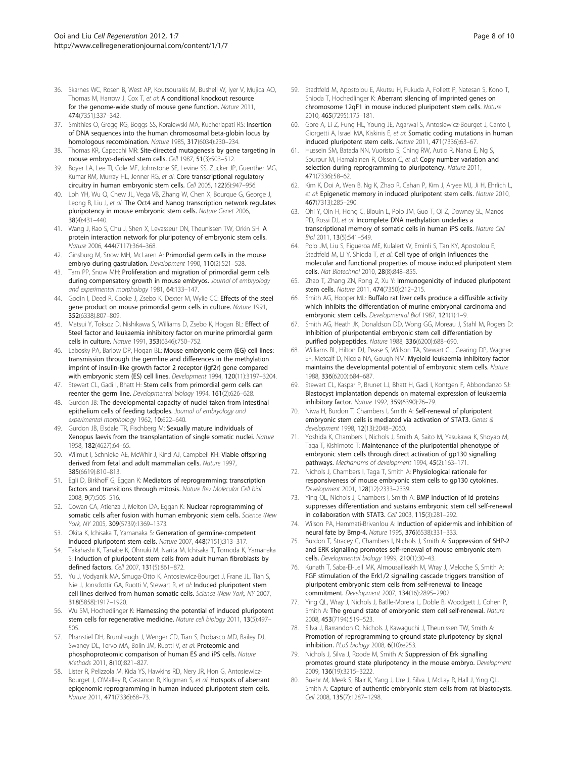- <span id="page-7-0"></span>36. Skarnes WC, Rosen B, West AP, Koutsourakis M, Bushell W, Iyer V, Mujica AO, Thomas M, Harrow J, Cox T, et al: A conditional knockout resource for the genome-wide study of mouse gene function. Nature 2011, 474(7351):337–342.
- 37. Smithies O, Gregg RG, Boggs SS, Koralewski MA, Kucherlapati RS: Insertion of DNA sequences into the human chromosomal beta-globin locus by homologous recombination. Nature 1985, 317(6034):230–234.
- 38. Thomas KR, Capecchi MR: Site-directed mutagenesis by gene targeting in mouse embryo-derived stem cells. Cell 1987, 51(3):503–512.
- 39. Boyer LA, Lee TI, Cole MF, Johnstone SE, Levine SS, Zucker JP, Guenther MG, Kumar RM, Murray HL, Jenner RG, et al: Core transcriptional regulatory circuitry in human embryonic stem cells. Cell 2005, 122(6):947–956.
- 40. Loh YH, Wu Q, Chew JL, Vega VB, Zhang W, Chen X, Bourque G, George J, Leong B, Liu J, et al: The Oct4 and Nanog transcription network regulates pluripotency in mouse embryonic stem cells. Nature Genet 2006, 38(4):431–440.
- 41. Wang J, Rao S, Chu J, Shen X, Levasseur DN, Theunissen TW, Orkin SH: A protein interaction network for pluripotency of embryonic stem cells. Nature 2006, 444(7117):364–368.
- 42. Ginsburg M, Snow MH, McLaren A: Primordial germ cells in the mouse embryo during gastrulation. Development 1990, 110(2):521-528.
- 43. Tam PP, Snow MH: Proliferation and migration of primordial germ cells during compensatory growth in mouse embryos. Journal of embryology and experimental morphology 1981, 64:133–147.
- 44. Godin I, Deed R, Cooke J, Zsebo K, Dexter M, Wylie CC: Effects of the steel gene product on mouse primordial germ cells in culture. Nature 1991, 352(6338):807–809.
- 45. Matsui Y, Toksoz D, Nishikawa S, Williams D, Zsebo K, Hogan BL: Effect of Steel factor and leukaemia inhibitory factor on murine primordial germ cells in culture. Nature 1991, 353(6346):750–752.
- 46. Labosky PA, Barlow DP, Hogan BL: Mouse embryonic germ (EG) cell lines: transmission through the germline and differences in the methylation imprint of insulin-like growth factor 2 receptor (Igf2r) gene compared with embryonic stem (ES) cell lines. Development 1994, 120(11):3197–3204.
- 47. Stewart CL, Gadi I, Bhatt H: Stem cells from primordial germ cells can reenter the germ line. Developmental biology 1994, 161(2):626–628.
- 48. Gurdon JB: The developmental capacity of nuclei taken from intestinal epithelium cells of feeding tadpoles. Journal of embryology and experimental morphology 1962, 10:622–640.
- 49. Gurdon JB, Elsdale TR, Fischberg M: Sexually mature individuals of Xenopus laevis from the transplantation of single somatic nuclei. Nature 1958, 182(4627):64–65.
- 50. Wilmut I, Schnieke AE, McWhir J, Kind AJ, Campbell KH: Viable offspring derived from fetal and adult mammalian cells. Nature 1997, 385(6619):810–813.
- 51. Egli D, Birkhoff G, Eggan K: Mediators of reprogramming: transcription factors and transitions through mitosis. Nature Rev Molecular Cell biol 2008, 9(7):505–516.
- 52. Cowan CA, Atienza J, Melton DA, Eggan K: Nuclear reprogramming of somatic cells after fusion with human embryonic stem cells. Science (New York, NY 2005, 309(5739):1369–1373.
- 53. Okita K, Ichisaka T, Yamanaka S: Generation of germline-competent induced pluripotent stem cells. Nature 2007, 448(7151):313–317.
- 54. Takahashi K, Tanabe K, Ohnuki M, Narita M, Ichisaka T, Tomoda K, Yamanaka S: Induction of pluripotent stem cells from adult human fibroblasts by defined factors. Cell 2007, 131(5):861–872.
- 55. Yu J, Vodyanik MA, Smuga-Otto K, Antosiewicz-Bourget J, Frane JL, Tian S, Nie J, Jonsdottir GA, Ruotti V, Stewart R, et al: Induced pluripotent stem cell lines derived from human somatic cells. Science (New York, NY 2007, 318(5858):1917–1920.
- 56. Wu SM, Hochedlinger K: Harnessing the potential of induced pluripotent stem cells for regenerative medicine. Nature cell biology 2011, 13(5):497– 505.
- 57. Phanstiel DH, Brumbaugh J, Wenger CD, Tian S, Probasco MD, Bailey DJ, Swaney DL, Tervo MA, Bolin JM, Ruotti V, et al: Proteomic and phosphoproteomic comparison of human ES and iPS cells. Nature Methods 2011, 8(10):821–827.
- 58. Lister R, Pelizzola M, Kida YS, Hawkins RD, Nery JR, Hon G, Antosiewicz-Bourget J, O'Malley R, Castanon R, Klugman S, et al: Hotspots of aberrant epigenomic reprogramming in human induced pluripotent stem cells. Nature 2011, 471(7336):68–73.
- 59. Stadtfeld M, Apostolou E, Akutsu H, Fukuda A, Follett P, Natesan S, Kono T, Shioda T, Hochedlinger K: Aberrant silencing of imprinted genes on chromosome 12qF1 in mouse induced pluripotent stem cells. Nature 2010, 465(7295):175–181.
- 60. Gore A, Li Z, Fung HL, Young JE, Agarwal S, Antosiewicz-Bourget J, Canto I, Giorgetti A, Israel MA, Kiskinis E, et al: Somatic coding mutations in human induced pluripotent stem cells. Nature 2011, 471(7336):63–67.
- 61. Hussein SM, Batada NN, Vuoristo S, Ching RW, Autio R, Narva E, Ng S, Sourour M, Hamalainen R, Olsson C, et al: Copy number variation and selection during reprogramming to pluripotency. Nature 2011, 471(7336):58–62.
- 62. Kim K, Doi A, Wen B, Ng K, Zhao R, Cahan P, Kim J, Aryee MJ, Ji H, Ehrlich L, et al: Epigenetic memory in induced pluripotent stem cells. Nature 2010, 467(7313):285–290.
- 63. Ohi Y, Qin H, Hong C, Blouin L, Polo JM, Guo T, Qi Z, Downey SL, Manos PD, Rossi DJ, et al: Incomplete DNA methylation underlies a transcriptional memory of somatic cells in human iPS cells. Nature Cell Biol 2011, 13(5):541–549.
- 64. Polo JM, Liu S, Figueroa ME, Kulalert W, Eminli S, Tan KY, Apostolou E, Stadtfeld M, Li Y, Shioda T, et al: Cell type of origin influences the molecular and functional properties of mouse induced pluripotent stem cells. Nat Biotechnol 2010, 28(8):848–855.
- 65. Zhao T, Zhang ZN, Rong Z, Xu Y: Immunogenicity of induced pluripotent stem cells. Nature 2011, 474(7350):212–215.
- 66. Smith AG, Hooper ML: Buffalo rat liver cells produce a diffusible activity which inhibits the differentiation of murine embryonal carcinoma and embryonic stem cells. Developmental Biol 1987, 121(1):1-9.
- 67. Smith AG, Heath JK, Donaldson DD, Wong GG, Moreau J, Stahl M, Rogers D: Inhibition of pluripotential embryonic stem cell differentiation by purified polypeptides. Nature 1988, 336(6200):688–690.
- 68. Williams RL, Hilton DJ, Pease S, Willson TA, Stewart CL, Gearing DP, Wagner EF, Metcalf D, Nicola NA, Gough NM: Myeloid leukaemia inhibitory factor maintains the developmental potential of embryonic stem cells. Nature 1988, 336(6200):684–687.
- 69. Stewart CL, Kaspar P, Brunet LJ, Bhatt H, Gadi I, Kontgen F, Abbondanzo SJ: Blastocyst implantation depends on maternal expression of leukaemia inhibitory factor. Nature 1992, 359(6390):76–79.
- 70. Niwa H, Burdon T, Chambers I, Smith A: Self-renewal of pluripotent embryonic stem cells is mediated via activation of STAT3. Genes & development 1998, 12(13):2048–2060.
- 71. Yoshida K, Chambers I, Nichols J, Smith A, Saito M, Yasukawa K, Shoyab M, Taga T, Kishimoto T: Maintenance of the pluripotential phenotype of embryonic stem cells through direct activation of gp130 signalling pathways. Mechanisms of development 1994, 45(2):163-171.
- 72. Nichols J, Chambers I, Taga T, Smith A: Physiological rationale for responsiveness of mouse embryonic stem cells to gp130 cytokines. Development 2001, 128(12):2333–2339.
- 73. Ying QL, Nichols J, Chambers I, Smith A: BMP induction of Id proteins suppresses differentiation and sustains embryonic stem cell self-renewal in collaboration with STAT3. Cell 2003, 115(3):281–292.
- 74. Wilson PA, Hemmati-Brivanlou A: Induction of epidermis and inhibition of neural fate by Bmp-4. Nature 1995, 376(6538):331–333.
- 75. Burdon T, Stracey C, Chambers I, Nichols J, Smith A: Suppression of SHP-2 and ERK signalling promotes self-renewal of mouse embryonic stem cells. Developmental biology 1999, 210(1):30–43.
- 76. Kunath T, Saba-El-Leil MK, Almousailleakh M, Wray J, Meloche S, Smith A: FGF stimulation of the Erk1/2 signalling cascade triggers transition of pluripotent embryonic stem cells from self-renewal to lineage commitment. Development 2007, 134(16):2895–2902.
- 77. Ying QL, Wray J, Nichols J, Batlle-Morera L, Doble B, Woodgett J, Cohen P, Smith A: The ground state of embryonic stem cell self-renewal. Nature 2008, 453(7194):519–523.
- 78. Silva J, Barrandon O, Nichols J, Kawaguchi J, Theunissen TW, Smith A: Promotion of reprogramming to ground state pluripotency by signal inhibition. PLoS biology 2008, 6(10):e253.
- 79. Nichols J, Silva J, Roode M, Smith A: Suppression of Erk signalling promotes ground state pluripotency in the mouse embryo. Development 2009, 136(19):3215–3222.
- 80. Buehr M, Meek S, Blair K, Yang J, Ure J, Silva J, McLay R, Hall J, Ying QL, Smith A: Capture of authentic embryonic stem cells from rat blastocysts. Cell 2008, 135(7):1287–1298.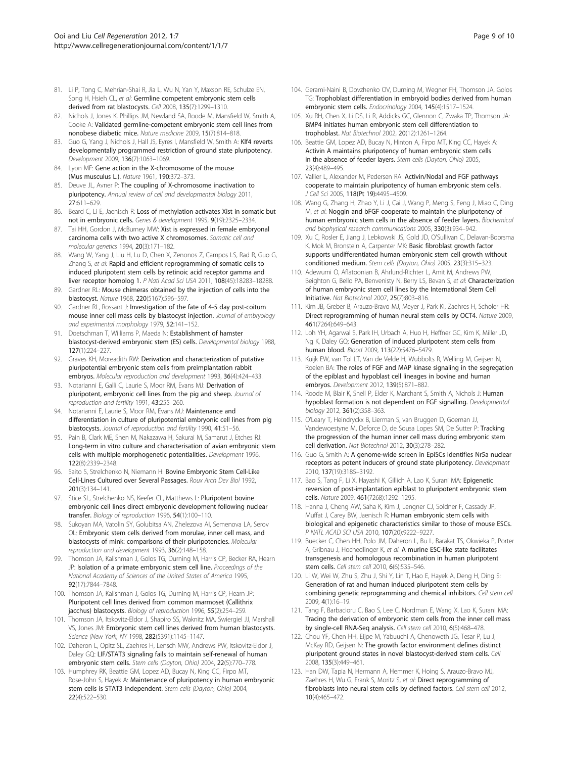- <span id="page-8-0"></span>81. Li P, Tong C, Mehrian-Shai R, Jia L, Wu N, Yan Y, Maxson RE, Schulze EN, Song H, Hsieh CL, et al: Germline competent embryonic stem cells derived from rat blastocysts. Cell 2008, 135(7):1299–1310.
- 82. Nichols J, Jones K, Phillips JM, Newland SA, Roode M, Mansfield W, Smith A, Cooke A: Validated germline-competent embryonic stem cell lines from nonobese diabetic mice. Nature medicine 2009, 15(7):814–818.
- 83. Guo G, Yang J, Nichols J, Hall JS, Eyres J, Mansfield W, Smith A: Klf4 reverts developmentally programmed restriction of ground state pluripotency. Development 2009, 136(7):1063–1069.
- 84. Lyon MF: Gene action in the X-chromosome of the mouse (Mus musculus L.). Nature 1961, 190:372–373.
- 85. Deuve JL, Avner P: The coupling of X-chromosome inactivation to pluripotency. Annual review of cell and developmental biology 2011, 27:611–629.
- 86. Beard C, Li E, Jaenisch R: Loss of methylation activates Xist in somatic but not in embryonic cells. Genes & development 1995, 9(19):2325–2334.
- 87. Tai HH, Gordon J, McBurney MW: Xist is expressed in female embryonal carcinoma cells with two active X chromosomes. Somatic cell and molecular genetics 1994, 20(3):171–182.
- 88. Wang W, Yang J, Liu H, Lu D, Chen X, Zenonos Z, Campos LS, Rad R, Guo G, Zhang S, et al: Rapid and efficient reprogramming of somatic cells to induced pluripotent stem cells by retinoic acid receptor gamma and liver receptor homolog 1. P Natl Acad Sci USA 2011, 108(45):18283–18288.
- 89. Gardner RL: Mouse chimeras obtained by the injection of cells into the blastocyst. Nature 1968, 220(5167):596–597.
- 90. Gardner RL, Rossant J: Investigation of the fate of 4-5 day post-coitum mouse inner cell mass cells by blastocyst injection. Journal of embryology and experimental morphology 1979, 52:141–152.
- 91. Doetschman T, Williams P, Maeda N: Establishment of hamster blastocyst-derived embryonic stem (ES) cells. Developmental biology 1988, 127(1):224–227.
- 92. Graves KH, Moreadith RW: Derivation and characterization of putative pluripotential embryonic stem cells from preimplantation rabbit embryos. Molecular reproduction and development 1993, 36(4):424-433.
- 93. Notarianni E, Galli C, Laurie S, Moor RM, Evans MJ: Derivation of pluripotent, embryonic cell lines from the pig and sheep. Journal of reproduction and fertility 1991, 43:255–260.
- 94. Notarianni E, Laurie S, Moor RM, Evans MJ: Maintenance and differentiation in culture of pluripotential embryonic cell lines from pig blastocysts. Journal of reproduction and fertility 1990, 41:51–56.
- 95. Pain B, Clark ME, Shen M, Nakazawa H, Sakurai M, Samarut J, Etches RJ: Long-term in vitro culture and characterisation of avian embryonic stem cells with multiple morphogenetic potentialities. Development 1996, 122(8):2339–2348.
- 96. Saito S, Strelchenko N, Niemann H: Bovine Embryonic Stem Cell-Like Cell-Lines Cultured over Several Passages. Roux Arch Dev Biol 1992, 201(3):134–141.
- 97. Stice SL, Strelchenko NS, Keefer CL, Matthews L: Pluripotent bovine embryonic cell lines direct embryonic development following nuclear transfer. Biology of reproduction 1996, 54(1):100–110.
- 98. Sukoyan MA, Vatolin SY, Golubitsa AN, Zhelezova AI, Semenova LA, Serov OL: Embryonic stem cells derived from morulae, inner cell mass, and blastocysts of mink: comparisons of their pluripotencies. Molecular reproduction and development 1993, 36(2):148–158.
- 99. Thomson JA, Kalishman J, Golos TG, Durning M, Harris CP, Becker RA, Hearn JP: Isolation of a primate embryonic stem cell line. Proceedings of the National Academy of Sciences of the United States of America 1995, 92(17):7844–7848.
- 100. Thomson JA, Kalishman J, Golos TG, Durning M, Harris CP, Hearn JP: Pluripotent cell lines derived from common marmoset (Callithrix jacchus) blastocysts. Biology of reproduction 1996, 55(2):254–259.
- 101. Thomson JA, Itskovitz-Eldor J, Shapiro SS, Waknitz MA, Swiergiel JJ, Marshall VS, Jones JM: Embryonic stem cell lines derived from human blastocysts. Science (New York, NY 1998, 282(5391):1145–1147.
- 102. Daheron L, Opitz SL, Zaehres H, Lensch MW, Andrews PW, Itskovitz-Eldor J, Daley GQ: LIF/STAT3 signaling fails to maintain self-renewal of human embryonic stem cells. Stem cells (Dayton, Ohio) 2004, 22(5):770-778.
- 103. Humphrey RK, Beattie GM, Lopez AD, Bucay N, King CC, Firpo MT, Rose-John S, Hayek A: Maintenance of pluripotency in human embryonic stem cells is STAT3 independent. Stem cells (Dayton, Ohio) 2004, 22(4):522–530.
- 104. Gerami-Naini B, Dovzhenko OV, Durning M, Wegner FH, Thomson JA, Golos TG: Trophoblast differentiation in embryoid bodies derived from human embryonic stem cells. Endocrinology 2004, 145(4):1517–1524.
- 105. Xu RH, Chen X, Li DS, Li R, Addicks GC, Glennon C, Zwaka TP, Thomson JA: BMP4 initiates human embryonic stem cell differentiation to trophoblast. Nat Biotechnol 2002, 20(12):1261–1264.
- 106. Beattie GM, Lopez AD, Bucay N, Hinton A, Firpo MT, King CC, Hayek A: Activin A maintains pluripotency of human embryonic stem cells in the absence of feeder layers. Stem cells (Dayton, Ohio) 2005, 23(4):489–495.
- 107. Vallier L, Alexander M, Pedersen RA: Activin/Nodal and FGF pathways cooperate to maintain pluripotency of human embryonic stem cells. J Cell Sci 2005, 118(Pt 19):4495–4509.
- 108. Wang G, Zhang H, Zhao Y, Li J, Cai J, Wang P, Meng S, Feng J, Miao C, Ding M, et al: Noggin and bFGF cooperate to maintain the pluripotency of human embryonic stem cells in the absence of feeder layers. Biochemical and biophysical research communications 2005, 330(3):934–942.
- 109. Xu C, Rosler E, Jiang J, Lebkowski JS, Gold JD, O'Sullivan C, Delavan-Boorsma K, Mok M, Bronstein A, Carpenter MK: Basic fibroblast growth factor supports undifferentiated human embryonic stem cell growth without conditioned medium. Stem cells (Dayton, Ohio) 2005, 23(3):315–323.
- 110. Adewumi O, Aflatoonian B, Ahrlund-Richter L, Amit M, Andrews PW, Beighton G, Bello PA, Benvenisty N, Berry LS, Bevan S, et al: Characterization of human embryonic stem cell lines by the International Stem Cell Initiative. Nat Biotechnol 2007, 25(7):803–816.
- 111. Kim JB, Greber B, Arauzo-Bravo MJ, Meyer J, Park KI, Zaehres H, Scholer HR: Direct reprogramming of human neural stem cells by OCT4. Nature 2009, 461(7264):649–643.
- 112. Loh YH, Agarwal S, Park IH, Urbach A, Huo H, Heffner GC, Kim K, Miller JD, Ng K, Daley GO: Generation of induced pluripotent stem cells from human blood. Blood 2009, 113(22):5476–5479.
- 113. Kuijk EW, van Tol LT, Van de Velde H, Wubbolts R, Welling M, Geijsen N, Roelen BA: The roles of FGF and MAP kinase signaling in the segregation of the epiblast and hypoblast cell lineages in bovine and human embryos. Development 2012, 139(5):871–882.
- 114. Roode M, Blair K, Snell P, Elder K, Marchant S, Smith A, Nichols J: Human hypoblast formation is not dependent on FGF signalling. Developmental biology 2012, 361(2):358–363.
- 115. O'Leary T, Heindryckx B, Lierman S, van Bruggen D, Goeman JJ, Vandewoestyne M, Deforce D, de Sousa Lopes SM, De Sutter P: Tracking the progression of the human inner cell mass during embryonic stem cell derivation. Nat Biotechnol 2012, 30(3):278–282.
- 116. Guo G, Smith A: A genome-wide screen in EpiSCs identifies Nr5a nuclear receptors as potent inducers of ground state pluripotency. Development 2010, 137(19):3185–3192.
- 117. Bao S, Tang F, Li X, Hayashi K, Gillich A, Lao K, Surani MA: Epigenetic reversion of post-implantation epiblast to pluripotent embryonic stem cells. Nature 2009, 461(7268):1292–1295.
- 118. Hanna J, Cheng AW, Saha K, Kim J, Lengner CJ, Soldner F, Cassady JP, Muffat J, Carey BW, Jaenisch R: Human embryonic stem cells with biological and epigenetic characteristics similar to those of mouse ESCs. P NATL ACAD SCI USA 2010, 107(20):9222–9227.
- 119. Buecker C, Chen HH, Polo JM, Daheron L, Bu L, Barakat TS, Okwieka P, Porter A, Gribnau J, Hochedlinger K, et al: A murine ESC-like state facilitates transgenesis and homologous recombination in human pluripotent stem cells. Cell stem cell 2010, 6(6):535–546.
- 120. Li W, Wei W, Zhu S, Zhu J, Shi Y, Lin T, Hao E, Hayek A, Deng H, Ding S: Generation of rat and human induced pluripotent stem cells by combining genetic reprogramming and chemical inhibitors. Cell stem cell 2009, 4(1):16–19.
- 121. Tang F, Barbacioru C, Bao S, Lee C, Nordman E, Wang X, Lao K, Surani MA: Tracing the derivation of embryonic stem cells from the inner cell mass by single-cell RNA-Seq analysis. Cell stem cell 2010, 6(5):468–478.
- 122. Chou YF, Chen HH, Eijpe M, Yabuuchi A, Chenoweth JG, Tesar P, Lu J, McKay RD, Geijsen N: The growth factor environment defines distinct pluripotent ground states in novel blastocyst-derived stem cells. Cell 2008, 135(3):449–461.
- 123. Han DW, Tapia N, Hermann A, Hemmer K, Hoing S, Arauzo-Bravo MJ, Zaehres H, Wu G, Frank S, Moritz S, et al: Direct reprogramming of fibroblasts into neural stem cells by defined factors. Cell stem cell 2012, 10(4):465–472.